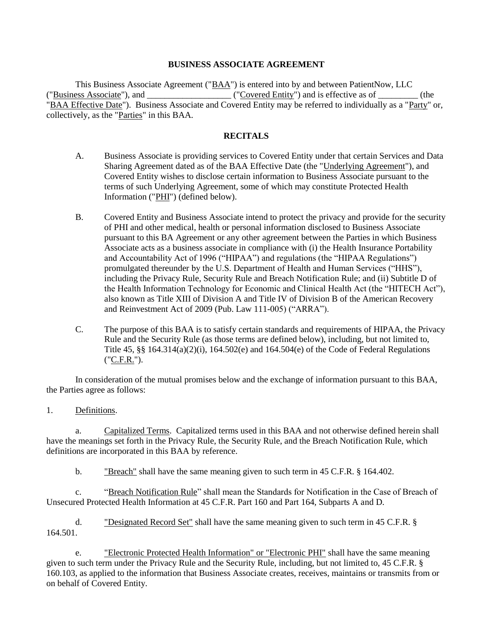## **BUSINESS ASSOCIATE AGREEMENT**

This Business Associate Agreement ("BAA") is entered into by and between PatientNow, LLC ("Business Associate"), and \_\_\_\_\_\_\_\_\_\_\_\_\_\_\_\_\_\_\_ ("Covered Entity") and is effective as of \_\_\_\_\_\_\_\_\_ (the "BAA Effective Date"). Business Associate and Covered Entity may be referred to individually as a "Party" or, collectively, as the "Parties" in this BAA.

#### **RECITALS**

- A. Business Associate is providing services to Covered Entity under that certain Services and Data Sharing Agreement dated as of the BAA Effective Date (the "Underlying Agreement"), and Covered Entity wishes to disclose certain information to Business Associate pursuant to the terms of such Underlying Agreement, some of which may constitute Protected Health Information ("PHI") (defined below).
- B. Covered Entity and Business Associate intend to protect the privacy and provide for the security of PHI and other medical, health or personal information disclosed to Business Associate pursuant to this BA Agreement or any other agreement between the Parties in which Business Associate acts as a business associate in compliance with (i) the Health Insurance Portability and Accountability Act of 1996 ("HIPAA") and regulations (the "HIPAA Regulations") promulgated thereunder by the U.S. Department of Health and Human Services ("HHS"), including the Privacy Rule, Security Rule and Breach Notification Rule; and (ii) Subtitle D of the Health Information Technology for Economic and Clinical Health Act (the "HITECH Act"), also known as Title XIII of Division A and Title IV of Division B of the American Recovery and Reinvestment Act of 2009 (Pub. Law 111-005) ("ARRA").
- C. The purpose of this BAA is to satisfy certain standards and requirements of HIPAA, the Privacy Rule and the Security Rule (as those terms are defined below), including, but not limited to, Title 45, §§ 164.314(a)(2)(i), 164.502(e) and 164.504(e) of the Code of Federal Regulations ("C.F.R.").

In consideration of the mutual promises below and the exchange of information pursuant to this BAA, the Parties agree as follows:

1. Definitions.

a. Capitalized Terms. Capitalized terms used in this BAA and not otherwise defined herein shall have the meanings set forth in the Privacy Rule, the Security Rule, and the Breach Notification Rule, which definitions are incorporated in this BAA by reference.

b. "Breach" shall have the same meaning given to such term in 45 C.F.R. § 164.402.

c. "Breach Notification Rule" shall mean the Standards for Notification in the Case of Breach of Unsecured Protected Health Information at 45 C.F.R. Part 160 and Part 164, Subparts A and D.

d. "Designated Record Set" shall have the same meaning given to such term in 45 C.F.R. § 164.501.

e. "Electronic Protected Health Information" or "Electronic PHI" shall have the same meaning given to such term under the Privacy Rule and the Security Rule, including, but not limited to, 45 C.F.R. § 160.103, as applied to the information that Business Associate creates, receives, maintains or transmits from or on behalf of Covered Entity.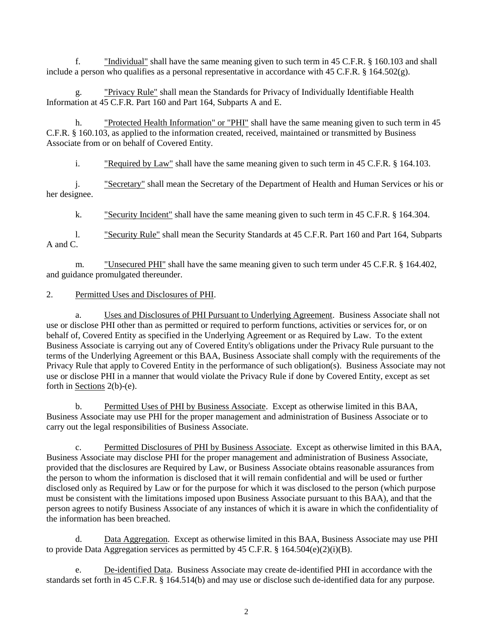f. "Individual" shall have the same meaning given to such term in 45 C.F.R. § 160.103 and shall include a person who qualifies as a personal representative in accordance with 45 C.F.R. § 164.502(g).

g. "Privacy Rule" shall mean the Standards for Privacy of Individually Identifiable Health Information at 45 C.F.R. Part 160 and Part 164, Subparts A and E.

h. "Protected Health Information" or "PHI" shall have the same meaning given to such term in 45 C.F.R. § 160.103, as applied to the information created, received, maintained or transmitted by Business Associate from or on behalf of Covered Entity.

i. "Required by Law" shall have the same meaning given to such term in 45 C.F.R. § 164.103.

j. "Secretary" shall mean the Secretary of the Department of Health and Human Services or his or her designee.

k. "Security Incident" shall have the same meaning given to such term in 45 C.F.R. § 164.304.

l. "Security Rule" shall mean the Security Standards at 45 C.F.R. Part 160 and Part 164, Subparts A and C.

m. **The Unsecured PHI''** shall have the same meaning given to such term under 45 C.F.R. § 164.402, and guidance promulgated thereunder.

### 2. Permitted Uses and Disclosures of PHI.

a. Uses and Disclosures of PHI Pursuant to Underlying Agreement. Business Associate shall not use or disclose PHI other than as permitted or required to perform functions, activities or services for, or on behalf of, Covered Entity as specified in the Underlying Agreement or as Required by Law. To the extent Business Associate is carrying out any of Covered Entity's obligations under the Privacy Rule pursuant to the terms of the Underlying Agreement or this BAA, Business Associate shall comply with the requirements of the Privacy Rule that apply to Covered Entity in the performance of such obligation(s). Business Associate may not use or disclose PHI in a manner that would violate the Privacy Rule if done by Covered Entity, except as set forth in Sections 2(b)-(e).

b. Permitted Uses of PHI by Business Associate. Except as otherwise limited in this BAA, Business Associate may use PHI for the proper management and administration of Business Associate or to carry out the legal responsibilities of Business Associate.

c. Permitted Disclosures of PHI by Business Associate. Except as otherwise limited in this BAA, Business Associate may disclose PHI for the proper management and administration of Business Associate, provided that the disclosures are Required by Law, or Business Associate obtains reasonable assurances from the person to whom the information is disclosed that it will remain confidential and will be used or further disclosed only as Required by Law or for the purpose for which it was disclosed to the person (which purpose must be consistent with the limitations imposed upon Business Associate pursuant to this BAA), and that the person agrees to notify Business Associate of any instances of which it is aware in which the confidentiality of the information has been breached.

d. Data Aggregation. Except as otherwise limited in this BAA, Business Associate may use PHI to provide Data Aggregation services as permitted by 45 C.F.R. § 164.504(e)(2)(i)(B).

e. De-identified Data. Business Associate may create de-identified PHI in accordance with the standards set forth in 45 C.F.R. § 164.514(b) and may use or disclose such de-identified data for any purpose.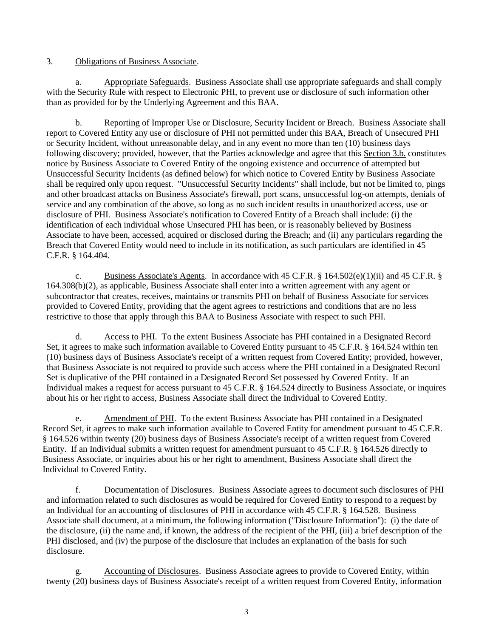## 3. Obligations of Business Associate.

a. Appropriate Safeguards. Business Associate shall use appropriate safeguards and shall comply with the Security Rule with respect to Electronic PHI, to prevent use or disclosure of such information other than as provided for by the Underlying Agreement and this BAA.

b. Reporting of Improper Use or Disclosure, Security Incident or Breach. Business Associate shall report to Covered Entity any use or disclosure of PHI not permitted under this BAA, Breach of Unsecured PHI or Security Incident, without unreasonable delay, and in any event no more than ten (10) business days following discovery; provided, however, that the Parties acknowledge and agree that this Section 3.b. constitutes notice by Business Associate to Covered Entity of the ongoing existence and occurrence of attempted but Unsuccessful Security Incidents (as defined below) for which notice to Covered Entity by Business Associate shall be required only upon request. "Unsuccessful Security Incidents" shall include, but not be limited to, pings and other broadcast attacks on Business Associate's firewall, port scans, unsuccessful log-on attempts, denials of service and any combination of the above, so long as no such incident results in unauthorized access, use or disclosure of PHI. Business Associate's notification to Covered Entity of a Breach shall include: (i) the identification of each individual whose Unsecured PHI has been, or is reasonably believed by Business Associate to have been, accessed, acquired or disclosed during the Breach; and (ii) any particulars regarding the Breach that Covered Entity would need to include in its notification, as such particulars are identified in 45 C.F.R. § 164.404.

c. Business Associate's Agents. In accordance with 45 C.F.R. § 164.502(e)(1)(ii) and 45 C.F.R. § 164.308(b)(2), as applicable, Business Associate shall enter into a written agreement with any agent or subcontractor that creates, receives, maintains or transmits PHI on behalf of Business Associate for services provided to Covered Entity, providing that the agent agrees to restrictions and conditions that are no less restrictive to those that apply through this BAA to Business Associate with respect to such PHI.

d. Access to PHI. To the extent Business Associate has PHI contained in a Designated Record Set, it agrees to make such information available to Covered Entity pursuant to 45 C.F.R. § 164.524 within ten (10) business days of Business Associate's receipt of a written request from Covered Entity; provided, however, that Business Associate is not required to provide such access where the PHI contained in a Designated Record Set is duplicative of the PHI contained in a Designated Record Set possessed by Covered Entity. If an Individual makes a request for access pursuant to 45 C.F.R. § 164.524 directly to Business Associate, or inquires about his or her right to access, Business Associate shall direct the Individual to Covered Entity.

e. Amendment of PHI. To the extent Business Associate has PHI contained in a Designated Record Set, it agrees to make such information available to Covered Entity for amendment pursuant to 45 C.F.R. § 164.526 within twenty (20) business days of Business Associate's receipt of a written request from Covered Entity. If an Individual submits a written request for amendment pursuant to 45 C.F.R. § 164.526 directly to Business Associate, or inquiries about his or her right to amendment, Business Associate shall direct the Individual to Covered Entity.

f. Documentation of Disclosures. Business Associate agrees to document such disclosures of PHI and information related to such disclosures as would be required for Covered Entity to respond to a request by an Individual for an accounting of disclosures of PHI in accordance with 45 C.F.R. § 164.528. Business Associate shall document, at a minimum, the following information ("Disclosure Information"): (i) the date of the disclosure, (ii) the name and, if known, the address of the recipient of the PHI, (iii) a brief description of the PHI disclosed, and (iv) the purpose of the disclosure that includes an explanation of the basis for such disclosure.

g. Accounting of Disclosures. Business Associate agrees to provide to Covered Entity, within twenty (20) business days of Business Associate's receipt of a written request from Covered Entity, information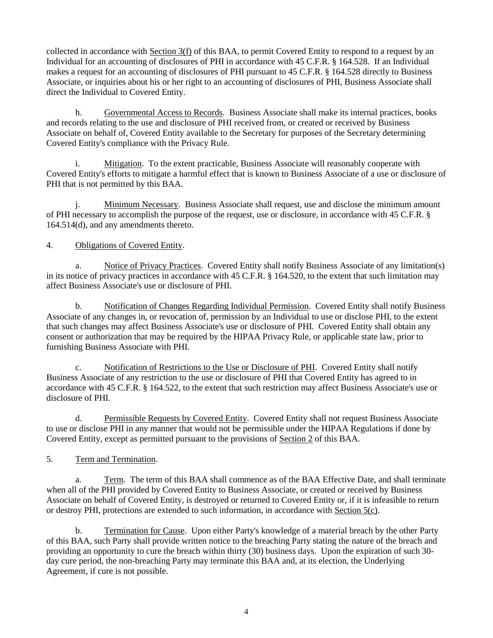collected in accordance with Section 3(f) of this BAA, to permit Covered Entity to respond to a request by an Individual for an accounting of disclosures of PHI in accordance with 45 C.F.R. § 164.528. If an Individual makes a request for an accounting of disclosures of PHI pursuant to 45 C.F.R. § 164.528 directly to Business Associate, or inquiries about his or her right to an accounting of disclosures of PHI, Business Associate shall direct the Individual to Covered Entity.

h. Governmental Access to Records. Business Associate shall make its internal practices, books and records relating to the use and disclosure of PHI received from, or created or received by Business Associate on behalf of, Covered Entity available to the Secretary for purposes of the Secretary determining Covered Entity's compliance with the Privacy Rule.

i. Mitigation. To the extent practicable, Business Associate will reasonably cooperate with Covered Entity's efforts to mitigate a harmful effect that is known to Business Associate of a use or disclosure of PHI that is not permitted by this BAA.

j. Minimum Necessary. Business Associate shall request, use and disclose the minimum amount of PHI necessary to accomplish the purpose of the request, use or disclosure, in accordance with 45 C.F.R. § 164.514(d), and any amendments thereto.

# 4. Obligations of Covered Entity.

a. Notice of Privacy Practices. Covered Entity shall notify Business Associate of any limitation(s) in its notice of privacy practices in accordance with 45 C.F.R. § 164.520, to the extent that such limitation may affect Business Associate's use or disclosure of PHI.

b. Notification of Changes Regarding Individual Permission. Covered Entity shall notify Business Associate of any changes in, or revocation of, permission by an Individual to use or disclose PHI, to the extent that such changes may affect Business Associate's use or disclosure of PHI. Covered Entity shall obtain any consent or authorization that may be required by the HIPAA Privacy Rule, or applicable state law, prior to furnishing Business Associate with PHI.

c. Notification of Restrictions to the Use or Disclosure of PHI. Covered Entity shall notify Business Associate of any restriction to the use or disclosure of PHI that Covered Entity has agreed to in accordance with 45 C.F.R. § 164.522, to the extent that such restriction may affect Business Associate's use or disclosure of PHI.

d. Permissible Requests by Covered Entity. Covered Entity shall not request Business Associate to use or disclose PHI in any manner that would not be permissible under the HIPAA Regulations if done by Covered Entity, except as permitted pursuant to the provisions of Section 2 of this BAA.

# 5. Term and Termination.

a. Term. The term of this BAA shall commence as of the BAA Effective Date, and shall terminate when all of the PHI provided by Covered Entity to Business Associate, or created or received by Business Associate on behalf of Covered Entity, is destroyed or returned to Covered Entity or, if it is infeasible to return or destroy PHI, protections are extended to such information, in accordance with Section 5(c).

b. Termination for Cause. Upon either Party's knowledge of a material breach by the other Party of this BAA, such Party shall provide written notice to the breaching Party stating the nature of the breach and providing an opportunity to cure the breach within thirty (30) business days. Upon the expiration of such 30 day cure period, the non-breaching Party may terminate this BAA and, at its election, the Underlying Agreement, if cure is not possible.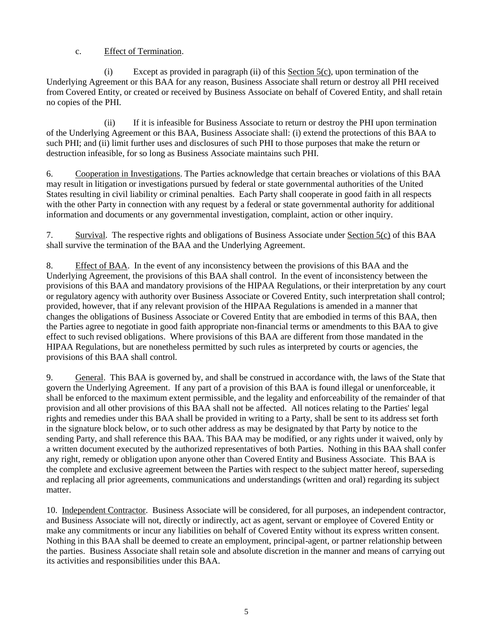# c. Effect of Termination.

(i) Except as provided in paragraph (ii) of this Section 5(c), upon termination of the Underlying Agreement or this BAA for any reason, Business Associate shall return or destroy all PHI received from Covered Entity, or created or received by Business Associate on behalf of Covered Entity, and shall retain no copies of the PHI.

(ii) If it is infeasible for Business Associate to return or destroy the PHI upon termination of the Underlying Agreement or this BAA, Business Associate shall: (i) extend the protections of this BAA to such PHI; and (ii) limit further uses and disclosures of such PHI to those purposes that make the return or destruction infeasible, for so long as Business Associate maintains such PHI.

6. Cooperation in Investigations. The Parties acknowledge that certain breaches or violations of this BAA may result in litigation or investigations pursued by federal or state governmental authorities of the United States resulting in civil liability or criminal penalties. Each Party shall cooperate in good faith in all respects with the other Party in connection with any request by a federal or state governmental authority for additional information and documents or any governmental investigation, complaint, action or other inquiry.

7. Survival. The respective rights and obligations of Business Associate under Section 5(c) of this BAA shall survive the termination of the BAA and the Underlying Agreement.

8. Effect of BAA. In the event of any inconsistency between the provisions of this BAA and the Underlying Agreement, the provisions of this BAA shall control. In the event of inconsistency between the provisions of this BAA and mandatory provisions of the HIPAA Regulations, or their interpretation by any court or regulatory agency with authority over Business Associate or Covered Entity, such interpretation shall control; provided, however, that if any relevant provision of the HIPAA Regulations is amended in a manner that changes the obligations of Business Associate or Covered Entity that are embodied in terms of this BAA, then the Parties agree to negotiate in good faith appropriate non-financial terms or amendments to this BAA to give effect to such revised obligations. Where provisions of this BAA are different from those mandated in the HIPAA Regulations, but are nonetheless permitted by such rules as interpreted by courts or agencies, the provisions of this BAA shall control.

9. General. This BAA is governed by, and shall be construed in accordance with, the laws of the State that govern the Underlying Agreement. If any part of a provision of this BAA is found illegal or unenforceable, it shall be enforced to the maximum extent permissible, and the legality and enforceability of the remainder of that provision and all other provisions of this BAA shall not be affected. All notices relating to the Parties' legal rights and remedies under this BAA shall be provided in writing to a Party, shall be sent to its address set forth in the signature block below, or to such other address as may be designated by that Party by notice to the sending Party, and shall reference this BAA. This BAA may be modified, or any rights under it waived, only by a written document executed by the authorized representatives of both Parties. Nothing in this BAA shall confer any right, remedy or obligation upon anyone other than Covered Entity and Business Associate. This BAA is the complete and exclusive agreement between the Parties with respect to the subject matter hereof, superseding and replacing all prior agreements, communications and understandings (written and oral) regarding its subject matter.

10. Independent Contractor. Business Associate will be considered, for all purposes, an independent contractor, and Business Associate will not, directly or indirectly, act as agent, servant or employee of Covered Entity or make any commitments or incur any liabilities on behalf of Covered Entity without its express written consent. Nothing in this BAA shall be deemed to create an employment, principal-agent, or partner relationship between the parties. Business Associate shall retain sole and absolute discretion in the manner and means of carrying out its activities and responsibilities under this BAA.